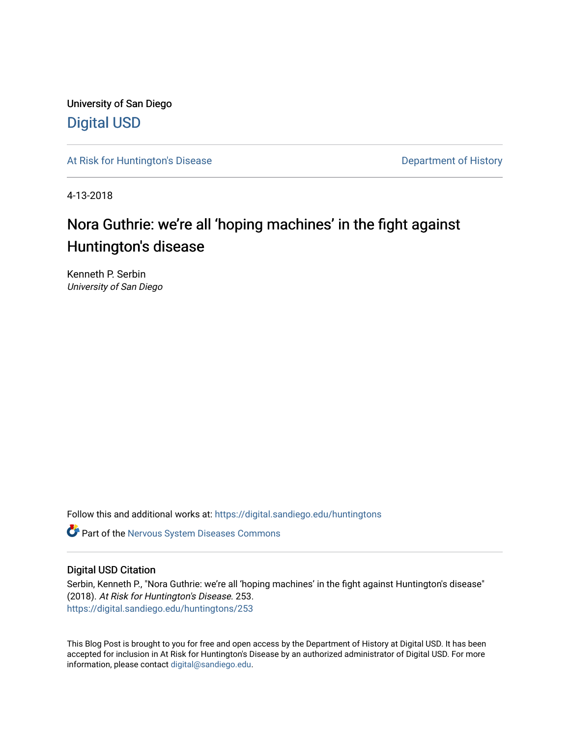University of San Diego [Digital USD](https://digital.sandiego.edu/)

[At Risk for Huntington's Disease](https://digital.sandiego.edu/huntingtons) **Department of History** Department of History

4-13-2018

# Nora Guthrie: we're all 'hoping machines' in the fight against Huntington's disease

Kenneth P. Serbin University of San Diego

Follow this and additional works at: [https://digital.sandiego.edu/huntingtons](https://digital.sandiego.edu/huntingtons?utm_source=digital.sandiego.edu%2Fhuntingtons%2F253&utm_medium=PDF&utm_campaign=PDFCoverPages)

**C** Part of the [Nervous System Diseases Commons](http://network.bepress.com/hgg/discipline/928?utm_source=digital.sandiego.edu%2Fhuntingtons%2F253&utm_medium=PDF&utm_campaign=PDFCoverPages)

### Digital USD Citation

Serbin, Kenneth P., "Nora Guthrie: we're all 'hoping machines' in the fight against Huntington's disease" (2018). At Risk for Huntington's Disease. 253. [https://digital.sandiego.edu/huntingtons/253](https://digital.sandiego.edu/huntingtons/253?utm_source=digital.sandiego.edu%2Fhuntingtons%2F253&utm_medium=PDF&utm_campaign=PDFCoverPages)

This Blog Post is brought to you for free and open access by the Department of History at Digital USD. It has been accepted for inclusion in At Risk for Huntington's Disease by an authorized administrator of Digital USD. For more information, please contact [digital@sandiego.edu.](mailto:digital@sandiego.edu)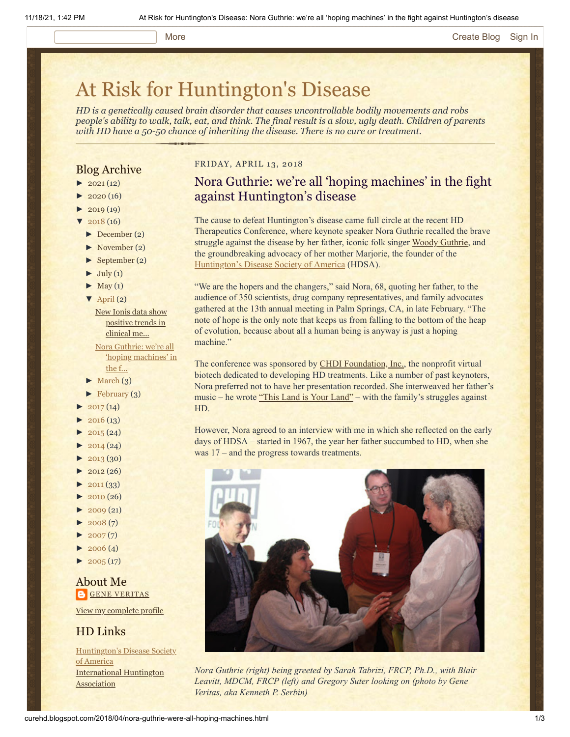#### More **[Create Blog](https://www.blogger.com/home#create) [Sign In](https://www.blogger.com/)**

# [At Risk for Huntington's Disease](http://curehd.blogspot.com/)

*HD is a genetically caused brain disorder that causes uncontrollable bodily movements and robs people's ability to walk, talk, eat, and think. The final result is a slow, ugly death. Children of parents with HD have a 50-50 chance of inheriting the disease. There is no cure or treatment.*

#### Blog Archive

- $\blacktriangleright$  [2021](http://curehd.blogspot.com/2021/) (12)
- $2020(16)$  $2020(16)$
- $2019(19)$  $2019(19)$
- $2018(16)$  $2018(16)$
- [►](javascript:void(0)) [December](http://curehd.blogspot.com/2018/12/) (2)
- [►](javascript:void(0)) [November](http://curehd.blogspot.com/2018/11/) (2)
- [►](javascript:void(0)) [September](http://curehd.blogspot.com/2018/09/) (2)
- $\blacktriangleright$  [July](http://curehd.blogspot.com/2018/07/) (1)
- $\blacktriangleright$  [May](http://curehd.blogspot.com/2018/05/) (1)
- $\nabla$  [April](http://curehd.blogspot.com/2018/04/) (2)
- New Ionis data show [positive](http://curehd.blogspot.com/2018/04/new-ionis-data-show-improvement-in.html) trends in clinical me... Nora Guthrie: we're all

'hoping [machines'](http://curehd.blogspot.com/2018/04/nora-guthrie-were-all-hoping-machines.html) in the f...

- $\blacktriangleright$  [March](http://curehd.blogspot.com/2018/03/) (3)
- $\blacktriangleright$  [February](http://curehd.blogspot.com/2018/02/) (3)
- $2017(14)$  $2017(14)$
- $2016(13)$  $2016(13)$
- $2015(24)$  $2015(24)$
- $2014(24)$  $2014(24)$
- $-2013(30)$  $-2013(30)$  $-2013(30)$
- $2012(26)$  $2012(26)$
- $\blacktriangleright$  [2011](http://curehd.blogspot.com/2011/) (33)
- [►](javascript:void(0)) [2010](http://curehd.blogspot.com/2010/) (26)
- $\blacktriangleright$  [2009](http://curehd.blogspot.com/2009/) (21)
- $2008(7)$  $2008(7)$
- $\blacktriangleright$  [2007](http://curehd.blogspot.com/2007/) $(7)$
- $\blacktriangleright$  [2006](http://curehd.blogspot.com/2006/) (4)
- $\blacktriangleright$  [2005](http://curehd.blogspot.com/2005/) (17)

About Me **GENE [VERITAS](https://www.blogger.com/profile/10911736205741688185)** 

View my [complete](https://www.blogger.com/profile/10911736205741688185) profile

### HD Links

[Huntington's](http://www.hdsa.org/) Disease Society of America [International](http://www.huntington-assoc.com/) Huntington **Association** 

#### FRIDAY, APRIL 13, 2018

# Nora Guthrie: we're all 'hoping machines' in the fight against Huntington's disease

The cause to defeat Huntington's disease came full circle at the recent HD Therapeutics Conference, where keynote speaker Nora Guthrie recalled the brave struggle against the disease by her father, iconic folk singer [Woody Guthrie,](http://www.woodyguthrie.org/biography/biography1.htm) and the groundbreaking advocacy of her mother Marjorie, the founder of the [Huntington's Disease Society of America](http://www.hdsa.org/) (HDSA).

"We are the hopers and the changers," said Nora, 68, quoting her father, to the audience of 350 scientists, drug company representatives, and family advocates gathered at the 13th annual meeting in Palm Springs, CA, in late February. "The note of hope is the only note that keeps us from falling to the bottom of the heap of evolution, because about all a human being is anyway is just a hoping machine."

The conference was sponsored by **CHDI Foundation**, Inc., the nonprofit virtual biotech dedicated to developing HD treatments. Like a number of past keynoters, Nora preferred not to have her presentation recorded. She interweaved her father's music – he wrote ["This Land is Your Land"](https://www.youtube.com/watch?v=wxiMrvDbq3s) – with the family's struggles against HD.

However, Nora agreed to an interview with me in which she reflected on the early days of HDSA – started in 1967, the year her father succumbed to HD, when she was 17 – and the progress towards treatments.



*Nora Guthrie (right) being greeted by Sarah Tabrizi, FRCP, Ph.D., with Blair Leavitt, MDCM, FRCP (left) and Gregory Suter looking on (photo by Gene Veritas, aka Kenneth P. Serbin)*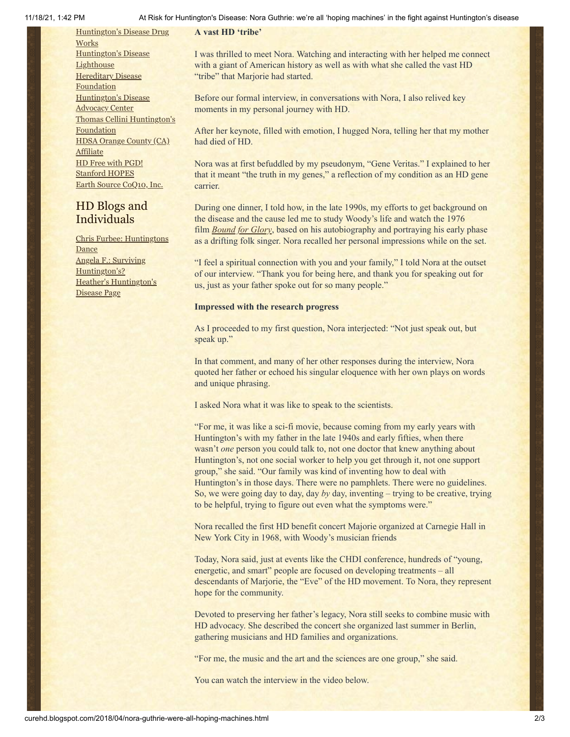11/18/21, 1:42 PM At Risk for Huntington's Disease: Nora Guthrie: we're all 'hoping machines' in the fight against Huntington's disease

[Huntington's](http://hddrugworks.org/) Disease Drug **Works** [Huntington's](http://www.hdlighthouse.org/) Disease **Lighthouse Hereditary Disease [Foundation](http://www.hdfoundation.org/)** [Huntington's](http://www.hdac.org/) Disease **Advocacy Center** Thomas [Cellini Huntington's](http://www.ourtchfoundation.org/) Foundation HDSA Orange County (CA) **[Affiliate](http://www.hdsaoc.org/)** HD Free with [PGD!](http://www.hdfreewithpgd.com/) [Stanford](http://www.stanford.edu/group/hopes/) HOPES Earth Source [CoQ10,](http://www.escoq10.com/) Inc.

# HD Blogs and Individuals

Chris Furbee: [Huntingtons](http://www.huntingtonsdance.org/) Dance Angela F.: Surviving [Huntington's?](http://survivinghuntingtons.blogspot.com/) Heather's [Huntington's](http://heatherdugdale.angelfire.com/) Disease Page

I was thrilled to meet Nora. Watching and interacting with her helped me connect with a giant of American history as well as with what she called the vast HD "tribe" that Marjorie had started.

Before our formal interview, in conversations with Nora, I also relived key moments in my personal journey with HD.

After her keynote, filled with emotion, I hugged Nora, telling her that my mother had died of HD.

Nora was at first befuddled by my pseudonym, "Gene Veritas." I explained to her that it meant "the truth in my genes," a reflection of my condition as an HD gene carrier.

During one dinner, I told how, in the late 1990s, my efforts to get background on the disease and the cause led me to study Woody's life and watch the 1976 film *[Bound for Glory](http://www.imdb.com/title/tt0074235/)*, based on his autobiography and portraying his early phase as a drifting folk singer. Nora recalled her personal impressions while on the set.

"I feel a spiritual connection with you and your family," I told Nora at the outset of our interview. "Thank you for being here, and thank you for speaking out for us, just as your father spoke out for so many people."

#### **Impressed with the research progress**

**A vast HD 'tribe'**

As I proceeded to my first question, Nora interjected: "Not just speak out, but speak up."

In that comment, and many of her other responses during the interview, Nora quoted her father or echoed his singular eloquence with her own plays on words and unique phrasing.

I asked Nora what it was like to speak to the scientists.

"For me, it was like a sci-fi movie, because coming from my early years with Huntington's with my father in the late 1940s and early fifties, when there wasn't *one* person you could talk to, not one doctor that knew anything about Huntington's, not one social worker to help you get through it, not one support group," she said. "Our family was kind of inventing how to deal with Huntington's in those days. There were no pamphlets. There were no guidelines. So, we were going day to day, day *by* day, inventing – trying to be creative, trying to be helpful, trying to figure out even what the symptoms were."

Nora recalled the first HD benefit concert Majorie organized at Carnegie Hall in New York City in 1968, with Woody's musician friends

Today, Nora said, just at events like the CHDI conference, hundreds of "young, energetic, and smart" people are focused on developing treatments – all descendants of Marjorie, the "Eve" of the HD movement. To Nora, they represent hope for the community.

Devoted to preserving her father's legacy, Nora still seeks to combine music with HD advocacy. She described the concert she organized last summer in Berlin, gathering musicians and HD families and organizations.

"For me, the music and the art and the sciences are one group," she said.

You can watch the interview in the video below.